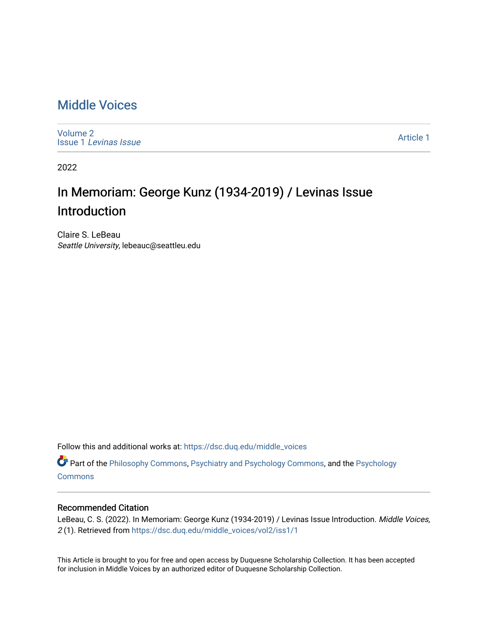## [Middle Voices](https://dsc.duq.edu/middle_voices)

[Volume 2](https://dsc.duq.edu/middle_voices/vol2) Issue 1 [Levinas Issue](https://dsc.duq.edu/middle_voices/vol2/iss1)

[Article 1](https://dsc.duq.edu/middle_voices/vol2/iss1/1) 

2022

## In Memoriam: George Kunz (1934-2019) / Levinas Issue Introduction

Claire S. LeBeau Seattle University, lebeauc@seattleu.edu

Follow this and additional works at: [https://dsc.duq.edu/middle\\_voices](https://dsc.duq.edu/middle_voices?utm_source=dsc.duq.edu%2Fmiddle_voices%2Fvol2%2Fiss1%2F1&utm_medium=PDF&utm_campaign=PDFCoverPages)

Part of the [Philosophy Commons,](http://network.bepress.com/hgg/discipline/525?utm_source=dsc.duq.edu%2Fmiddle_voices%2Fvol2%2Fiss1%2F1&utm_medium=PDF&utm_campaign=PDFCoverPages) [Psychiatry and Psychology Commons,](http://network.bepress.com/hgg/discipline/908?utm_source=dsc.duq.edu%2Fmiddle_voices%2Fvol2%2Fiss1%2F1&utm_medium=PDF&utm_campaign=PDFCoverPages) and the [Psychology](http://network.bepress.com/hgg/discipline/404?utm_source=dsc.duq.edu%2Fmiddle_voices%2Fvol2%2Fiss1%2F1&utm_medium=PDF&utm_campaign=PDFCoverPages)  **[Commons](http://network.bepress.com/hgg/discipline/404?utm_source=dsc.duq.edu%2Fmiddle_voices%2Fvol2%2Fiss1%2F1&utm_medium=PDF&utm_campaign=PDFCoverPages)** 

## Recommended Citation

LeBeau, C. S. (2022). In Memoriam: George Kunz (1934-2019) / Levinas Issue Introduction. Middle Voices, 2 (1). Retrieved from [https://dsc.duq.edu/middle\\_voices/vol2/iss1/1](https://dsc.duq.edu/middle_voices/vol2/iss1/1?utm_source=dsc.duq.edu%2Fmiddle_voices%2Fvol2%2Fiss1%2F1&utm_medium=PDF&utm_campaign=PDFCoverPages) 

This Article is brought to you for free and open access by Duquesne Scholarship Collection. It has been accepted for inclusion in Middle Voices by an authorized editor of Duquesne Scholarship Collection.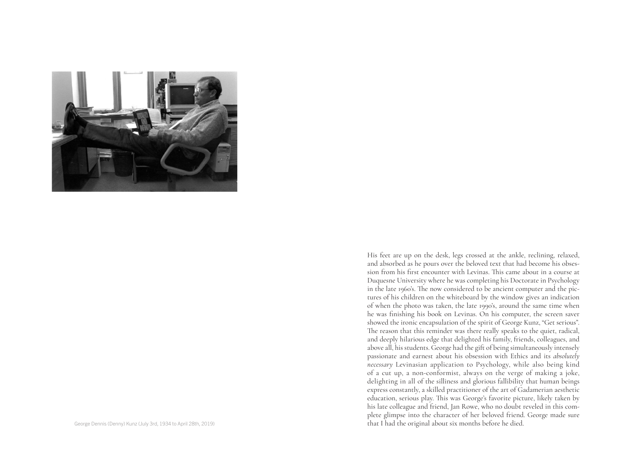

His feet are up on the desk, legs crossed at the ankle, reclining, relaxed, and absorbed as he pours over the beloved text that had become his obses sion from his first encounter with Levinas. This came about in a course at Duquesne University where he was completing his Doctorate in Psychology in the late 1960's. The now considered to be ancient computer and the pic tures of his children on the whiteboard by the window gives an indication of when the photo was taken, the late 1990's, around the same time when he was finishing his book on Levinas. On his computer, the screen saver showed the ironic encapsulation of the spirit of George Kunz, "Get serious". The reason that this reminder was there really speaks to the quiet, radical, and deeply hilarious edge that delighted his family, friends, colleagues, and above all, his students. George had the gift of being simultaneously intensely passionate and earnest about his obsession with Ethics and its *absolutely necessary* Levinasian application to Psychology, while also being kind of a cut up, a non-conformist, always on the verge of making a joke, delighting in all of the silliness and glorious fallibility that human beings express constantly, a skilled practitioner of the art of Gadamerian aesthetic education, serious play. This was George's favorite picture, likely taken by his late colleague and friend, Jan Rowe, who no doubt reveled in this com plete glimpse into the character of her beloved friend. George made sure George Dennis (Denny) Kunz (July 3rd, 1934 to April 28th, 2019) **that I had the original about six months before he died.**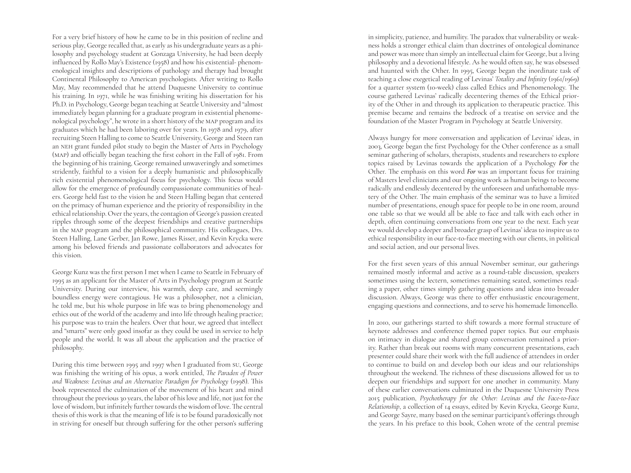For a very brief history of how he came to be in this position of recline and serious play, George recalled that, as early as his undergraduate years as a philosophy and psychology student at Gonzaga University, he had been deeply influenced by Rollo May's Existence (1958) and how his existential- phenomenological insights and descriptions of pathology and therapy had brought Continental Philosophy to American psychologists. After writing to Rollo May, May recommended that he attend Duquesne University to continue his training. In 1971, while he was finishing writing his dissertation for his Ph.D. in Psychology, George began teaching at Seattle University and "almost immediately began planning for a graduate program in existential phenomenological psychology", he wrote in a short history of the MAP program and its graduates which he had been laboring over for years. In 1978 and 1979, after recruiting Steen Halling to come to Seattle University, George and Steen ran an NEH grant funded pilot study to begin the Master of Arts in Psychology (MAP) and officially began teaching the first cohort in the Fall of 1981. From the beginning of his training, George remained unwaveringly and sometimes stridently, faithful to a vision for a deeply humanistic and philosophically rich existential phenomenological focus for psychology. This focus would allow for the emergence of profoundly compassionate communities of healers. George held fast to the vision he and Steen Halling began that centered on the primacy of human experience and the priority of responsibility in the ethical relationship. Over the years, the contagion of George's passion created ripples through some of the deepest friendships and creative partnerships in the MAP program and the philosophical community. His colleagues, Drs. Steen Halling, Lane Gerber, Jan Rowe, James Risser, and Kevin Krycka were among his beloved friends and passionate collaborators and advocates for this vision.

George Kunz was the first person I met when I came to Seattle in February of 1995 as an applicant for the Master of Arts in Psychology program at Seattle University. During our interview, his warmth, deep care, and seemingly boundless energy were contagious. He was a philosopher, not a clinician, he told me, but his whole purpose in life was to bring phenomenology and ethics out of the world of the academy and into life through healing practice; his purpose was to train the healers. Over that hour, we agreed that intellect and "smarts" were only good insofar as they could be used in service to help people and the world. It was all about the application and the practice of philosophy.

During this time between 1995 and 1997 when I graduated from SU, George was finishing the writing of his opus, a work entitled, *The Paradox of Power and Weakness: Levinas and an Alternative Paradigm for Psychology* (1998). This book represented the culmination of the movement of his heart and mind throughout the previous 30 years, the labor of his love and life, not just for the love of wisdom, but infinitely further towards the wisdom of love. The central thesis of this work is that the meaning of life is to be found paradoxically not in striving for oneself but through suffering for the other person's suffering in simplicity, patience, and humility. The paradox that vulnerability or weakness holds a stronger ethical claim than doctrines of ontological dominance and power was more than simply an intellectual claim for George, but a living philosophy and a devotional lifestyle. As he would often say, he was obsessed and haunted with the Other. In 1995, George began the inordinate task of teaching a close exegetical reading of Levinas' *Totality and Infinity* (1961/1969) for a quarter system (10-week) class called Ethics and Phenomenology. The course gathered Levinas' radically decentering themes of the Ethical priority of the Other in and through its application to therapeutic practice. This premise became and remains the bedrock of a treatise on service and the foundation of the Master Program in Psychology at Seattle University.

Always hungry for more conversation and application of Levinas' ideas, in 2003, George began the first Psychology for the Other conference as a small seminar gathering of scholars, therapists, students and researchers to explore topics raised by Levinas towards the application of a Psychology *For* the Other. The emphasis on this word *For* was an important focus for training of Masters level clinicians and our ongoing work as human beings to become radically and endlessly decentered by the unforeseen and unfathomable mystery of the Other. The main emphasis of the seminar was to have a limited number of presentations, enough space for people to be in one room, around one table so that we would all be able to face and talk with each other in depth, often continuing conversations from one year to the next. Each year we would develop a deeper and broader grasp of Levinas' ideas to inspire us to ethical responsibility in our face-to-face meeting with our clients, in political and social action, and our personal lives.

For the first seven years of this annual November seminar, our gatherings remained mostly informal and active as a round-table discussion, speakers sometimes using the lectern, sometimes remaining seated, sometimes reading a paper, other times simply gathering questions and ideas into broader discussion. Always, George was there to offer enthusiastic encouragement, engaging questions and connections, and to serve his homemade limoncello.

In 2010, our gatherings started to shift towards a more formal structure of keynote addresses and conference themed paper topics. But our emphasis on intimacy in dialogue and shared group conversation remained a priority. Rather than break out rooms with many concurrent presentations, each presenter could share their work with the full audience of attendees in order to continue to build on and develop both our ideas and our relationships throughout the weekend. The richness of these discussions allowed for us to deepen our friendships and support for one another in community. Many of these earlier conversations culminated in the Duquesne University Press 2015 publication, *Psychotherapy for the Other: Levinas and the Face-to-Face Relationship*, a collection of 14 essays, edited by Kevin Krycka, George Kunz, and George Sayre, many based on the seminar participant's offerings through the years. In his preface to this book, Cohen wrote of the central premise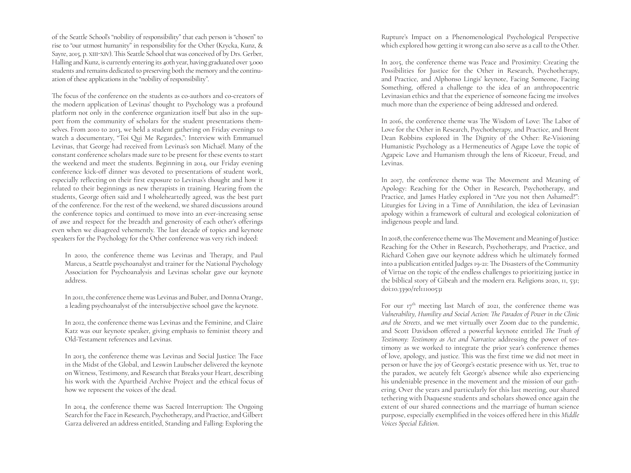of the Seattle School's "nobility of responsibility" that each person is "chosen" to rise to "our utmost humanity" in responsibility for the Other (Krycka, Kunz, & Sayre, 2015, p. XIII -XIV). This Seattle School that was conceived of by Drs. Gerber, Halling and Kunz, is currently entering its 40th year, having graduated over 3,000 students and remains dedicated to preserving both the memory and the continuation of these applications in the "nobility of responsibility".

The focus of the conference on the students as co-authors and co-creators of the modern application of Levinas' thought to Psychology was a profound platform not only in the conference organization itself but also in the sup port from the community of scholars for the student presentations them selves. From 2010 to 2013, we held a student gathering on Friday evenings to watch a documentary, "Toi Qui Me Regardes,": Interview with Emmanuel Levinas, that George had received from Levinas's son Michaël. Many of the constant conference scholars made sure to be present for these events to start the weekend and meet the students. Beginning in 2014, our Friday evening conference kick-off dinner was devoted to presentations of student work, especially reflecting on their first exposure to Levinas's thought and how it related to their beginnings as new therapists in training. Hearing from the students, George often said and I wholeheartedly agreed, was the best part of the conference. For the rest of the weekend, we shared discussions around the conference topics and continued to move into an ever-increasing sense of awe and respect for the breadth and generosity of each other's offerings even when we disagreed vehemently. The last decade of topics and keynote speakers for the Psychology for the Other conference was very rich indeed:

In 2010, the conference theme was Levinas and Therapy, and Paul Marcus, a Seattle psychoanalyst and trainer for the National Psychology Association for Psychoanalysis and Levinas scholar gave our keynote address.

In 2011, the conference theme was Levinas and Buber, and Donna Orange, a leading psychoanalyst of the intersubjective school gave the keynote.

In 2012, the conference theme was Levinas and the Feminine, and Claire Katz was our keynote speaker, giving emphasis to feminist theory and Old-Testament references and Levinas.

In 2013, the conference theme was Levinas and Social Justice: The Face in the Midst of the Global, and Leswin Laubscher delivered the keynote on Witness, Testimony, and Research that Breaks your Heart, describing his work with the Apartheid Archive Project and the ethical focus of how we represent the voices of the dead.

In 2014, the conference theme was Sacred Interruption: The Ongoing Search for the Face in Research, Psychotherapy, and Practice, and Gilbert Garza delivered an address entitled, Standing and Falling: Exploring the

Rupture's Impact on a Phenomenological Psychological Perspective which explored how getting it wrong can also serve as a call to the Other.

In 2015, the conference theme was Peace and Proximity: Creating the Possibilities for Justice for the Other in Research, Psychotherapy, and Practice, and Alphonso Lingis' keynote, Facing Someone, Facing Something, offered a challenge to the idea of an anthropocentric Levinasian ethics and that the experience of someone facing me involves much more than the experience of being addressed and ordered.

In 2016, the conference theme was The Wisdom of Love: The Labor of Love for the Other in Research, Psychotherapy, and Practice, and Brent Dean Robbins explored in The Dignity of the Other: Re-Visioning Humanistic Psychology as a Hermeneutics of Agape Love the topic of Agapeic Love and Humanism through the lens of Ricoeur, Freud, and Levinas.

In 2017, the conference theme was The Movement and Meaning of Apology: Reaching for the Other in Research, Psychotherapy, and Practice, and James Hatley explored in "Are you not then Ashamed?": Liturgies for Living in a Time of Annihilation, the idea of Levinasian apology within a framework of cultural and ecological colonization of indigenous people and land.

In 2018, the conference theme was The Movement and Meaning of Justice: Reaching for the Other in Research, Psychotherapy, and Practice, and Richard Cohen gave our keynote address which he ultimately formed into a publication entitled Judges 19-21: The Disasters of the Community of Virtue on the topic of the endless challenges to prioritizing justice in the biblical story of Gibeah and the modern era. Religions 2020, 11, 531; doi:10.3390/rel11100531

For our  $17<sup>th</sup>$  meeting last March of 2021, the conference theme was *Vulnerability, Humility and Social Action: The Paradox of Power in the Clinic and the Streets*, and we met virtually over Zoom due to the pandemic, and Scott Davidson offered a powerful keynote entitled *The Truth of Testimony: Testimony as Act and Narrative* addressing the power of tes timony as we worked to integrate the prior year's conference themes of love, apology, and justice. This was the first time we did not meet in person or have the joy of George's ecstatic presence with us. Yet, true to the paradox, we acutely felt George's absence while also experiencing his undeniable presence in the movement and the mission of our gath ering. Over the years and particularly for this last meeting, our shared tethering with Duquesne students and scholars showed once again the extent of our shared connections and the marriage of human science purpose, especially exemplified in the voices offered here in this *Middle Voices Special Edition* .